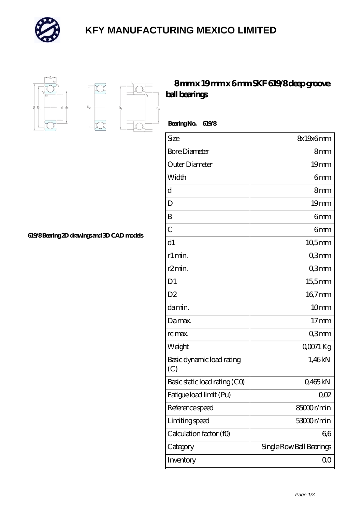

## **[KFY MANUFACTURING MEXICO LIMITED](https://m.mailemotion.tv)**



 $D_a$ 

Ď.

## **[8 mm x 19 mm x 6 mm SKF 619/8 deep groove](https://m.mailemotion.tv/bd-412386-skf-619-8-deep-groove-ball-bearings.html) [ball bearings](https://m.mailemotion.tv/bd-412386-skf-619-8-deep-groove-ball-bearings.html)**

 **Bearing No. 619/8**

| Size                             | 8x19x6mm                 |
|----------------------------------|--------------------------|
| <b>Bore Diameter</b>             | 8mm                      |
| Outer Diameter                   | 19 <sub>mm</sub>         |
| Width                            | 6mm                      |
| d                                | 8mm                      |
| D                                | 19mm                     |
| B                                | 6mm                      |
| $\overline{C}$                   | 6mm                      |
| d1                               | $10,5$ mm                |
| r1 min.                          | Q3mm                     |
| r2min.                           | Q3mm                     |
| D <sub>1</sub>                   | 15,5mm                   |
| D <sub>2</sub>                   | 167mm                    |
| da min.                          | 10 <sub>mm</sub>         |
| Damax.                           | 17 <sub>mm</sub>         |
| rc max.                          | Q3mm                     |
| Weight                           | $Q0$ 71 Kg               |
| Basic dynamic load rating<br>(C) | 1,46kN                   |
| Basic static load rating (CO)    | Q465kN                   |
| Fatigue load limit (Pu)          | 002                      |
| Reference speed                  | 85000r/min               |
| Limiting speed                   | 53000r/min               |
| Calculation factor (f0)          | 66                       |
| Category                         | Single Row Ball Bearings |
| Inventory                        | $00 \,$                  |

**[619/8 Bearing 2D drawings and 3D CAD models](https://m.mailemotion.tv/pic-412386.html)**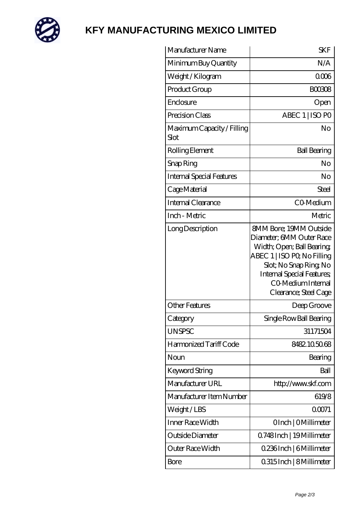

## **[KFY MANUFACTURING MEXICO LIMITED](https://m.mailemotion.tv)**

| Manufacturer Name                  | <b>SKF</b>                                                                                                                                                                                                                         |
|------------------------------------|------------------------------------------------------------------------------------------------------------------------------------------------------------------------------------------------------------------------------------|
| Minimum Buy Quantity               | N/A                                                                                                                                                                                                                                |
| Weight /Kilogram                   | 0006                                                                                                                                                                                                                               |
| Product Group                      | <b>BOO308</b>                                                                                                                                                                                                                      |
| Enclosure                          | Open                                                                                                                                                                                                                               |
| Precision Class                    | ABEC 1   ISO PO                                                                                                                                                                                                                    |
| Maximum Capacity / Filling<br>Slot | No                                                                                                                                                                                                                                 |
| Rolling Element                    | <b>Ball Bearing</b>                                                                                                                                                                                                                |
| Snap Ring                          | No                                                                                                                                                                                                                                 |
| <b>Internal Special Features</b>   | No                                                                                                                                                                                                                                 |
| Cage Material                      | Steel                                                                                                                                                                                                                              |
| Internal Clearance                 | CO-Medium                                                                                                                                                                                                                          |
| Inch - Metric                      | Metric                                                                                                                                                                                                                             |
| Long Description                   | <b>SMM Bore: 19MM Outside</b><br>Diameter; 6MM Outer Race<br>Width; Open; Ball Bearing;<br>ABEC 1   ISO PQ No Filling<br>Slot; No Snap Ring No<br><b>Internal Special Features;</b><br>CO Medium Internal<br>Clearance; Steel Cage |
| Other Features                     | Deep Groove                                                                                                                                                                                                                        |
| Category                           | Single Row Ball Bearing                                                                                                                                                                                                            |
| <b>UNSPSC</b>                      | 31171504                                                                                                                                                                                                                           |
| Harmonized Tariff Code             | 8482105068                                                                                                                                                                                                                         |
| Noun                               | Bearing                                                                                                                                                                                                                            |
| Keyword String                     | Ball                                                                                                                                                                                                                               |
| Manufacturer URL                   | http://www.skf.com                                                                                                                                                                                                                 |
| Manufacturer Item Number           | 619/8                                                                                                                                                                                                                              |
| Weight/LBS                         | 00071                                                                                                                                                                                                                              |
| Inner Race Width                   | OInch   OMillimeter                                                                                                                                                                                                                |
| Outside Diameter                   | Q748Inch   19Millimeter                                                                                                                                                                                                            |
| Outer Race Width                   | 0.236Inch   6Millimeter                                                                                                                                                                                                            |
| Bore                               | 0315Inch   8 Millimeter                                                                                                                                                                                                            |